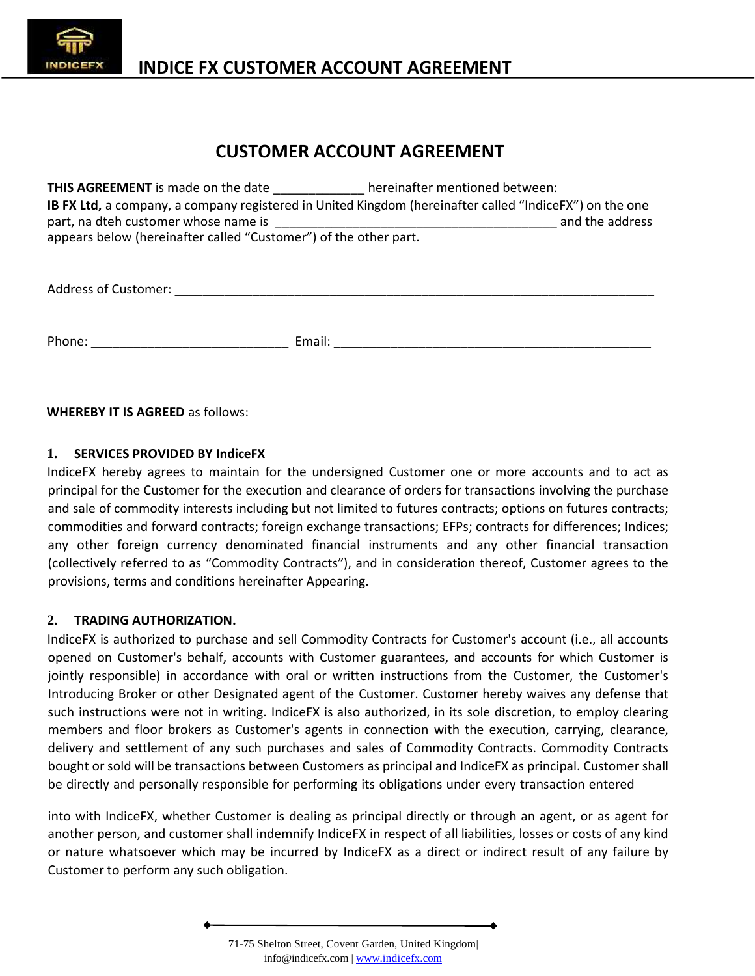

# **INDICE FX CUSTOMER ACCOUNT AGREEMENT**

# **CUSTOMER ACCOUNT AGREEMENT**

| <b>THIS AGREEMENT</b> is made on the date hereinafter mentioned between: |                                                                                                         |
|--------------------------------------------------------------------------|---------------------------------------------------------------------------------------------------------|
|                                                                          | IB FX Ltd, a company, a company registered in United Kingdom (hereinafter called "IndiceFX") on the one |
|                                                                          | and the address                                                                                         |
| appears below (hereinafter called "Customer") of the other part.         |                                                                                                         |
|                                                                          |                                                                                                         |
| Address of Customer: National Property of Customer:                      |                                                                                                         |
|                                                                          |                                                                                                         |
| Phone:                                                                   | Email:                                                                                                  |

#### **WHEREBY IT IS AGREED** as follows:

#### **1. SERVICES PROVIDED BY IndiceFX**

IndiceFX hereby agrees to maintain for the undersigned Customer one or more accounts and to act as principal for the Customer for the execution and clearance of orders for transactions involving the purchase and sale of commodity interests including but not limited to futures contracts; options on futures contracts; commodities and forward contracts; foreign exchange transactions; EFPs; contracts for differences; Indices; any other foreign currency denominated financial instruments and any other financial transaction (collectively referred to as "Commodity Contracts"), and in consideration thereof, Customer agrees to the provisions, terms and conditions hereinafter Appearing.

#### **2. TRADING AUTHORIZATION.**

IndiceFX is authorized to purchase and sell Commodity Contracts for Customer's account (i.e., all accounts opened on Customer's behalf, accounts with Customer guarantees, and accounts for which Customer is jointly responsible) in accordance with oral or written instructions from the Customer, the Customer's Introducing Broker or other Designated agent of the Customer. Customer hereby waives any defense that such instructions were not in writing. IndiceFX is also authorized, in its sole discretion, to employ clearing members and floor brokers as Customer's agents in connection with the execution, carrying, clearance, delivery and settlement of any such purchases and sales of Commodity Contracts. Commodity Contracts bought or sold will be transactions between Customers as principal and IndiceFX as principal. Customer shall be directly and personally responsible for performing its obligations under every transaction entered

into with IndiceFX, whether Customer is dealing as principal directly or through an agent, or as agent for another person, and customer shall indemnify IndiceFX in respect of all liabilities, losses or costs of any kind or nature whatsoever which may be incurred by IndiceFX as a direct or indirect result of any failure by Customer to perform any such obligation.

<sup>71-75</sup> Shelton Street, Covent Garden, United Kingdom| info@indicefx.com | www.indicefx.com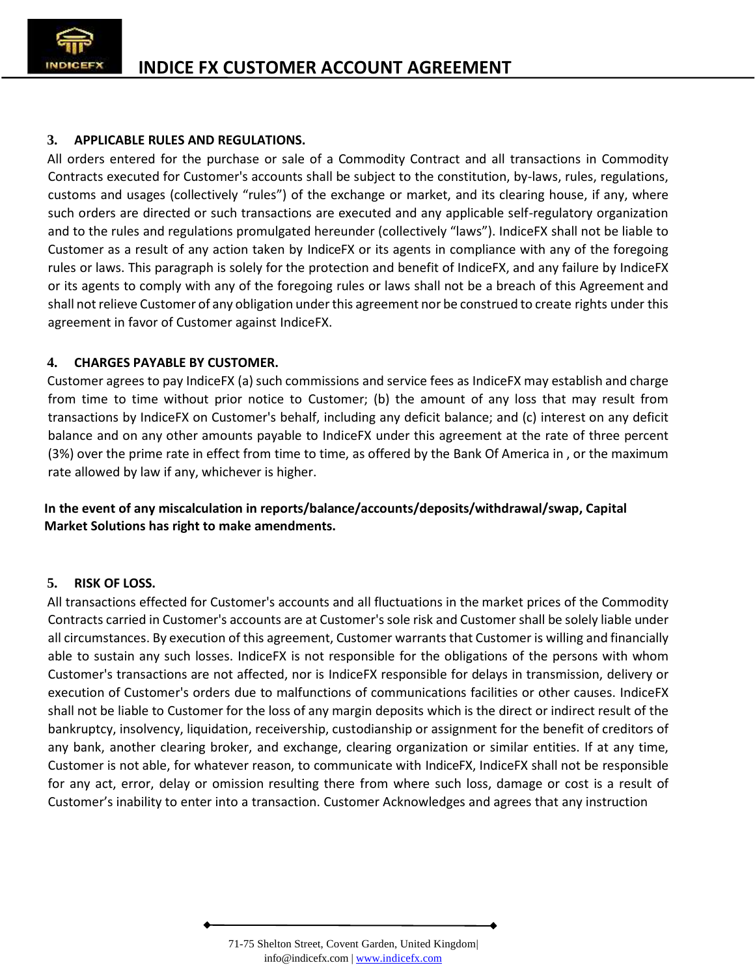

## **3. APPLICABLE RULES AND REGULATIONS.**

All orders entered for the purchase or sale of a Commodity Contract and all transactions in Commodity Contracts executed for Customer's accounts shall be subject to the constitution, by-laws, rules, regulations, customs and usages (collectively "rules") of the exchange or market, and its clearing house, if any, where such orders are directed or such transactions are executed and any applicable self-regulatory organization and to the rules and regulations promulgated hereunder (collectively "laws"). IndiceFX shall not be liable to Customer as a result of any action taken by IndiceFX or its agents in compliance with any ofthe foregoing rules or laws. This paragraph is solely for the protection and benefit of IndiceFX, and any failure by IndiceFX or its agents to comply with any of the foregoing rules or laws shall not be a breach of this Agreement and shall notrelieve Customer of any obligation under this agreement nor be construed to create rights under this agreement in favor of Customer against IndiceFX.

## **4. CHARGES PAYABLE BY CUSTOMER.**

Customer agrees to pay IndiceFX (a) such commissions and service fees as IndiceFX may establish and charge from time to time without prior notice to Customer; (b) the amount of any loss that may result from transactions by IndiceFX on Customer's behalf, including any deficit balance; and (c) interest on any deficit balance and on any other amounts payable to IndiceFX under this agreement at the rate of three percent (3%) over the prime rate in effect from time to time, as offered by the Bank Of America in , or the maximum rate allowed by law if any, whichever is higher.

**In the event of any miscalculation in reports/balance/accounts/deposits/withdrawal/swap, Capital Market Solutions has right to make amendments.**

### **5. RISK OF LOSS.**

All transactions effected for Customer's accounts and all fluctuations in the market prices of the Commodity Contracts carried in Customer's accounts are at Customer'ssole risk and Customer shall be solely liable under all circumstances. By execution of this agreement, Customer warrants that Customer is willing and financially able to sustain any such losses. IndiceFX is not responsible for the obligations of the persons with whom Customer's transactions are not affected, nor is IndiceFX responsible for delays in transmission, delivery or execution of Customer's orders due to malfunctions of communications facilities or other causes. IndiceFX shall not be liable to Customer for the loss of any margin deposits which is the direct or indirect result of the bankruptcy, insolvency, liquidation, receivership, custodianship or assignment for the benefit of creditors of any bank, another clearing broker, and exchange, clearing organization or similar entities. If at any time, Customer is not able, for whatever reason, to communicate with IndiceFX, IndiceFX shall not be responsible for any act, error, delay or omission resulting there from where such loss, damage or cost is a result of Customer's inability to enter into a transaction. Customer Acknowledges and agrees that any instruction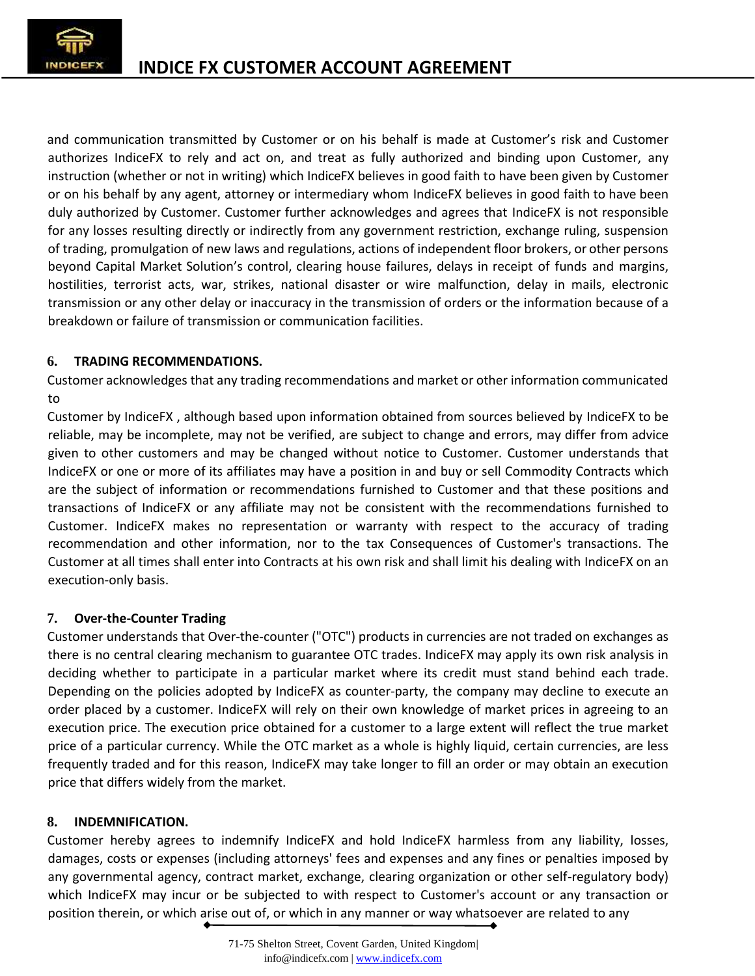

and communication transmitted by Customer or on his behalf is made at Customer's risk and Customer authorizes IndiceFX to rely and act on, and treat as fully authorized and binding upon Customer, any instruction (whether or not in writing) which IndiceFX believes in good faith to have been given by Customer or on his behalf by any agent, attorney or intermediary whom IndiceFX believes in good faith to have been duly authorized by Customer. Customer further acknowledges and agrees that IndiceFX is not responsible for any losses resulting directly or indirectly from any government restriction, exchange ruling, suspension of trading, promulgation of new laws and regulations, actions of independent floor brokers, or other persons beyond Capital Market Solution's control, clearing house failures, delays in receipt of funds and margins, hostilities, terrorist acts, war, strikes, national disaster or wire malfunction, delay in mails, electronic transmission or any other delay or inaccuracy in the transmission of orders or the information because of a breakdown or failure of transmission or communication facilities.

## **6. TRADING RECOMMENDATIONS.**

Customer acknowledges that any trading recommendations and market or other information communicated to

Customer by IndiceFX , although based upon information obtained from sources believed by IndiceFX to be reliable, may be incomplete, may not be verified, are subject to change and errors, may differ from advice given to other customers and may be changed without notice to Customer. Customer understands that IndiceFX or one ormore of its affiliates may have a position in and buy or sell Commodity Contracts which are the subject of information or recommendations furnished to Customer and that these positions and transactions of IndiceFX or any affiliate may not be consistent with the recommendations furnished to Customer. IndiceFX makes no representation or warranty with respect to the accuracy of trading recommendation and other information, nor to the tax Consequences of Customer's transactions. The Customer at all times shall enter into Contracts at his own risk and shall limit his dealing with IndiceFX on an execution-only basis.

### **7. Over-the-Counter Trading**

Customer understands that Over-the-counter ("OTC") products in currencies are not traded on exchanges as there is no central clearing mechanism to guarantee OTC trades. IndiceFX may apply its own risk analysis in deciding whether to participate in a particular market where its credit must stand behind each trade. Depending on the policies adopted by IndiceFX as counter-party, the company may decline to execute an order placed by a customer. IndiceFX will rely on their own knowledge of market prices in agreeing to an execution price. The execution price obtained for a customer to a large extent will reflect the true market price of a particular currency. While the OTC market as a whole is highly liquid, certain currencies, are less frequently traded and for this reason, IndiceFX may take longer to fill an order or may obtain an execution price that differs widely from the market.

### **8. INDEMNIFICATION.**

Customer hereby agrees to indemnify IndiceFX and hold IndiceFX harmless from any liability, losses, damages, costs or expenses (including attorneys' fees and expenses and any fines or penalties imposed by any governmental agency, contract market, exchange, clearing organization or other self-regulatory body) which IndiceFX may incur or be subjected to with respect to Customer's account or any transaction or position therein, or which arise out of, or which in any manner or way whatsoever are related to any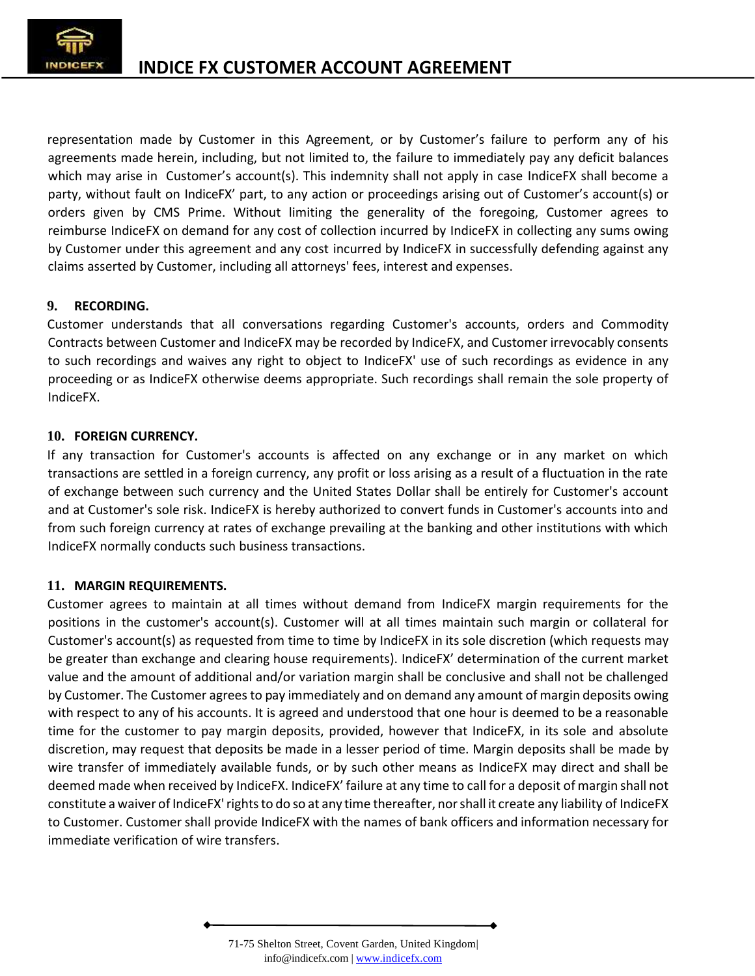

representation made by Customer in this Agreement, or by Customer's failure to perform any of his agreements made herein, including, but not limited to, the failure to immediately pay any deficit balances which may arise in Customer's account(s). This indemnity shall not apply in case IndiceFX shall become a party, without fault on IndiceFX' part, to any action or proceedings arising out of Customer's account(s) or orders given by CMS Prime. Without limiting the generality of the foregoing, Customer agrees to reimburse IndiceFX on demand for any cost of collection incurred by IndiceFX in collecting any sums owing by Customer under this agreement and any cost incurred by IndiceFX in successfully defending against any claims asserted by Customer, including all attorneys' fees, interest and expenses.

## **9. RECORDING.**

Customer understands that all conversations regarding Customer's accounts, orders and Commodity Contracts between Customer and IndiceFX may be recorded by IndiceFX, and Customer irrevocably consents to such recordings and waives any right to object to IndiceFX' use of such recordings as evidence in any proceeding or as IndiceFX otherwise deems appropriate. Such recordings shall remain the sole property of IndiceFX.

## **10. FOREIGN CURRENCY.**

If any transaction for Customer's accounts is affected on any exchange or in any market on which transactions are settled in a foreign currency, any profit or loss arising as a result of a fluctuation in the rate of exchange between such currency and the United States Dollar shall be entirely for Customer's account and at Customer's sole risk. IndiceFX is hereby authorized to convert funds in Customer's accounts into and from such foreign currency at rates of exchange prevailing at the banking and other institutions with which IndiceFX normally conducts such business transactions.

### **11. MARGIN REQUIREMENTS.**

Customer agrees to maintain at all times without demand from IndiceFX margin requirements for the positions in the customer's account(s). Customer will at all times maintain such margin or collateral for Customer's account(s) as requested from time to time by IndiceFX in its sole discretion (which requests may be greater than exchange and clearing house requirements). IndiceFX' determination of the current market value and the amount of additional and/or variation margin shall be conclusive and shall not be challenged by Customer. The Customer agrees to pay immediately and on demand any amount of margin deposits owing with respect to any of his accounts. It is agreed and understood that one hour is deemed to be a reasonable time for the customer to pay margin deposits, provided, however that IndiceFX, in its sole and absolute discretion, may request that deposits be made in a lesser period of time. Margin deposits shall be made by wire transfer of immediately available funds, or by such other means as IndiceFX may direct and shall be deemed made when received by IndiceFX. IndiceFX' failure at any time to call for a deposit of margin shall not constitute a waiver of IndiceFX' rights to do so at any time thereafter, nor shall it create any liability of IndiceFX to Customer. Customer shall provide IndiceFX with the names of bank officers and information necessary for immediate verification of wire transfers.

<sup>71-75</sup> Shelton Street, Covent Garden, United Kingdom| info@indicefx.com | www.indicefx.com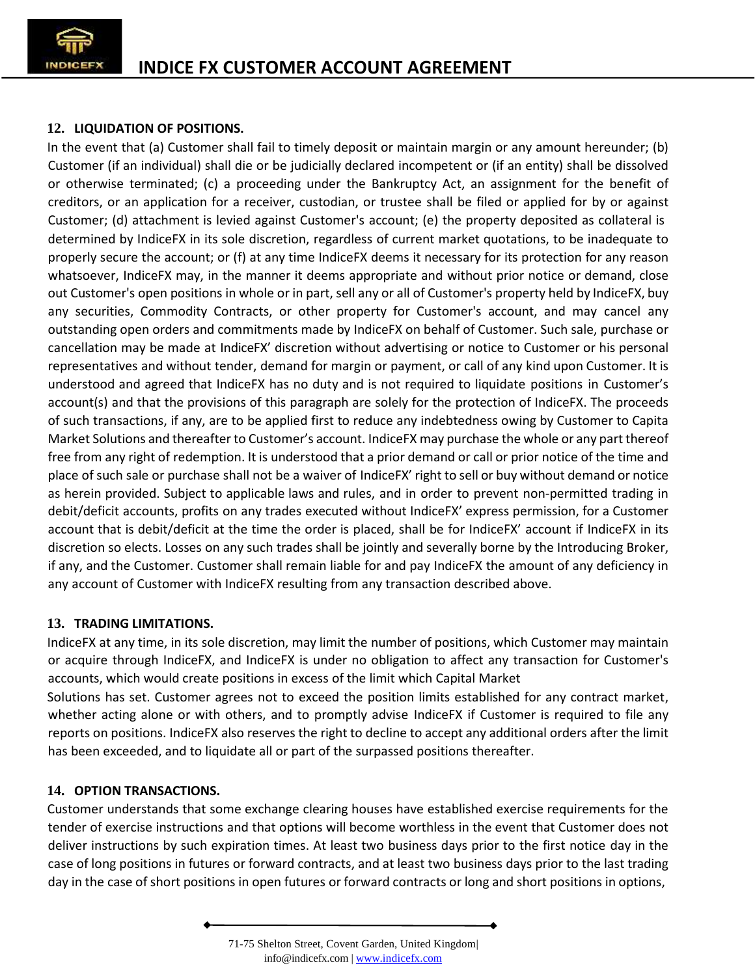

# **12. LIQUIDATION OF POSITIONS.**

In the event that (a) Customer shall fail to timely deposit or maintain margin or any amount hereunder; (b) Customer (if an individual) shall die or be judicially declared incompetent or (if an entity) shall be dissolved or otherwise terminated; (c) a proceeding under the Bankruptcy Act, an assignment for the benefit of creditors, or an application for a receiver, custodian, or trustee shall be filed or applied for by or against Customer; (d) attachment is levied against Customer's account; (e) the property deposited as collateral is determined by IndiceFX in its sole discretion, regardless of current market quotations, to be inadequate to properly secure the account; or (f) at any time IndiceFX deems it necessary for its protection for any reason whatsoever, IndiceFX may, in the manner it deems appropriate and without prior notice or demand, close out Customer's open positions in whole or in part, sell any or all of Customer's property held by IndiceFX, buy any securities, Commodity Contracts, or other property for Customer's account, and may cancel any outstanding open orders and commitments made by IndiceFX on behalf of Customer. Such sale, purchase or cancellation may be made at IndiceFX' discretion without advertising or notice to Customer or his personal representatives and without tender, demand for margin or payment, or call of any kind upon Customer. It is understood and agreed that IndiceFX has no duty and is not required to liquidate positions in Customer's account(s) and that the provisions of this paragraph are solely for the protection of IndiceFX. The proceeds of such transactions, if any, are to be applied first to reduce any indebtedness owing by Customer to Capita Market Solutions and thereafter to Customer's account. IndiceFX may purchase the whole orany part thereof free from any right of redemption. It is understood that a prior demand or call or prior notice of the time and place of such sale or purchase shall not be a waiver of IndiceFX' right to sell or buy without demand or notice as herein provided. Subject to applicable laws and rules, and in order to prevent non-permitted trading in debit/deficit accounts, profits on any trades executed without IndiceFX' express permission, for a Customer account that is debit/deficit at the time the order is placed, shall be for IndiceFX' account if IndiceFX in its discretion so elects. Losses on any such trades shall be jointly and severally borne by the Introducing Broker, if any, and the Customer. Customer shall remain liable for and pay IndiceFX the amount of any deficiency in any account of Customer with IndiceFX resulting from any transaction described above.

### **13. TRADING LIMITATIONS.**

IndiceFX at any time, in its sole discretion, may limit the number of positions, which Customer may maintain or acquire through IndiceFX, and IndiceFX is under no obligation to affect any transaction for Customer's accounts, which would create positions in excess of the limit which Capital Market

Solutions has set. Customer agrees not to exceed the position limits established for any contract market, whether acting alone or with others, and to promptly advise IndiceFX if Customer is required to file any reports on positions. IndiceFX also reserves the right to decline to accept any additional orders after the limit has been exceeded, and to liquidate all or part of the surpassed positions thereafter.

# **14. OPTION TRANSACTIONS.**

Customer understands that some exchange clearing houses have established exercise requirements for the tender of exercise instructions and that options will become worthless in the event that Customer does not deliver instructions by such expiration times. At least two business days prior to the first notice day in the case of long positions in futures or forward contracts, and at least two business days prior to the last trading day in the case of short positions in open futures or forward contracts or long and short positions in options,

<sup>71-75</sup> Shelton Street, Covent Garden, United Kingdom| info@indicefx.com | www.indicefx.com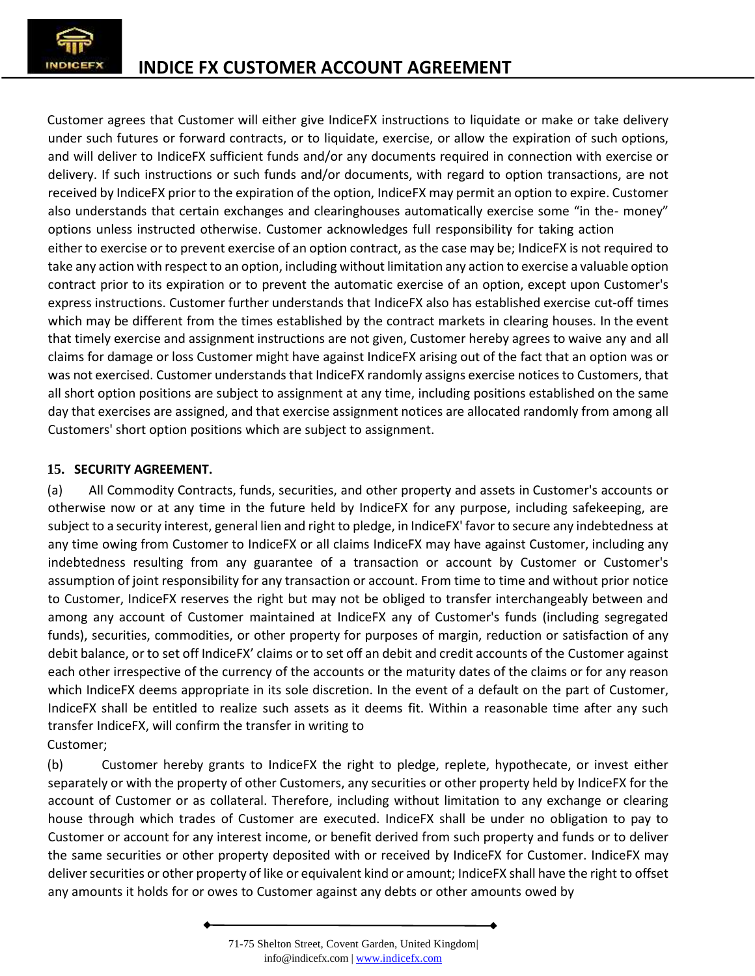

Customer agrees that Customer will either give IndiceFX instructions to liquidate or make or take delivery under such futures or forward contracts, or to liquidate, exercise, or allow the expiration of such options, and will deliver to IndiceFX sufficient funds and/or any documents required in connection with exercise or delivery. If such instructions or such funds and/or documents, with regard to option transactions, are not received by IndiceFX prior to the expiration of the option, IndiceFX may permit an option to expire. Customer also understands that certain exchanges and clearinghouses automatically exercise some "in the- money" options unless instructed otherwise. Customer acknowledges full responsibility for taking action either to exercise or to prevent exercise of an option contract, as the case may be; IndiceFX is not required to take any action with respect to an option, including without limitation any action to exercise a valuable option contract prior to its expiration or to prevent the automatic exercise of an option, except upon Customer's express instructions. Customer further understands that IndiceFX also has established exercise cut-off times which may be different from the times established by the contract markets in clearing houses. In the event that timely exercise and assignment instructions are not given, Customer hereby agrees to waive any and all claims for damage orloss Customer might have against IndiceFX arising out of the fact that an option was or was not exercised. Customer understands that IndiceFX randomly assigns exercise notices to Customers, that all short option positions are subject to assignment at any time, including positions established on the same day that exercises are assigned, and that exercise assignment notices are allocated randomly from among all Customers' short option positions which are subject to assignment.

## **15. SECURITY AGREEMENT.**

(a) All Commodity Contracts, funds, securities, and other property and assets in Customer's accounts or otherwise now or at any time in the future held by IndiceFX for any purpose, including safekeeping, are subject to a security interest, general lien and right to pledge, in IndiceFX' favor to secure any indebtedness at any time owing from Customer to IndiceFX or all claims IndiceFX may have against Customer, including any indebtedness resulting from any guarantee of a transaction or account by Customer or Customer's assumption of joint responsibility for any transaction or account. From time to time and without prior notice to Customer, IndiceFX reserves the right but may not be obliged to transfer interchangeably between and among any account of Customer maintained at IndiceFX any of Customer's funds (including segregated funds), securities, commodities, or other property for purposes of margin, reduction or satisfaction of any debit balance, or to setoff IndiceFX' claims or to setoff an debit and credit accounts of the Customer against each other irrespective of the currency of the accounts or the maturity dates of the claims or for any reason which IndiceFX deems appropriate in its sole discretion. In the event of a default on the part of Customer, IndiceFX shall be entitled to realize such assets as it deems fit. Within a reasonable time after any such transfer IndiceFX, will confirm the transfer in writing to Customer;

(b) Customer hereby grants to IndiceFX the right to pledge, replete, hypothecate, or invest either separately or with the property of other Customers, any securities or other property held by IndiceFX for the account of Customer or as collateral. Therefore, including without limitation to any exchange or clearing house through which trades of Customer are executed. IndiceFX shall be under no obligation to pay to Customer or account for any interest income, or benefit derived from such property and funds or to deliver the same securities or other property deposited with or received by IndiceFX for Customer. IndiceFX may deliver securities or other property of like or equivalent kind or amount; IndiceFX shall have the right to offset any amounts it holds for or owes to Customer against any debts or other amounts owed by

<sup>71-75</sup> Shelton Street, Covent Garden, United Kingdom| info@indicefx.com | www.indicefx.com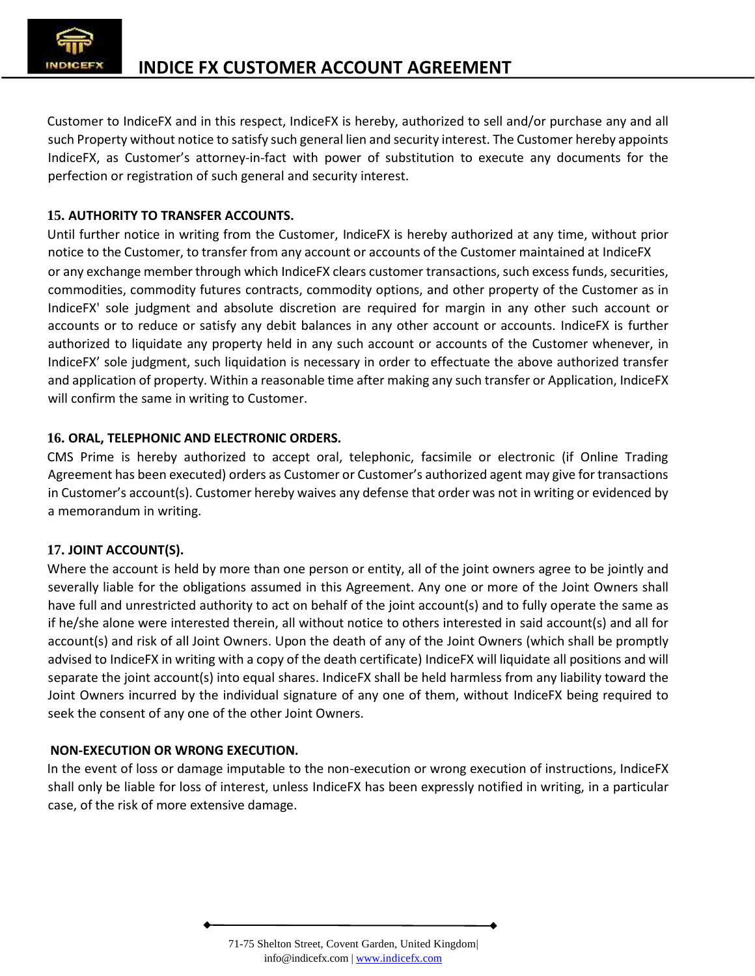

Customer to IndiceFX and in this respect, IndiceFX ishereby, authorized to sell and/or purchase any and all such Property without notice to satisfy such general lien and security interest. The Customer hereby appoints IndiceFX, as Customer's attorney-in-fact with power of substitution to execute any documents for the perfection or registration of such general and security interest.

## **15. AUTHORITY TO TRANSFER ACCOUNTS.**

Until further notice in writing from the Customer, IndiceFX ishereby authorized at any time, without prior notice to the Customer, to transfer from any account or accounts of the Customer maintained at IndiceFX or any exchange member through which IndiceFX clears customer transactions, such excess funds, securities, commodities, commodity futures contracts, commodity options, and other property of the Customer as in IndiceFX' sole judgment and absolute discretion are required for margin in any other such account or accounts or to reduce or satisfy any debit balances in any other account or accounts. IndiceFX is further authorized to liquidate any property held in any such account or accounts of the Customer whenever, in IndiceFX' sole judgment, such liquidation is necessary in order to effectuate the above authorized transfer and application of property. Within a reasonable time after making any such transfer or Application, IndiceFX will confirm the same in writing to Customer.

## **16. ORAL, TELEPHONIC AND ELECTRONIC ORDERS.**

CMS Prime is hereby authorized to accept oral, telephonic, facsimile or electronic (if Online Trading Agreement has been executed) orders as Customer or Customer's authorized agent may give for transactions in Customer's account(s). Customer hereby waives any defense that order was not in writing or evidenced by a memorandum in writing.

# **17. JOINT ACCOUNT(S).**

Where the account is held by more than one person or entity, all of the joint owners agree to be jointly and severally liable for the obligations assumed in this Agreement. Any one or more of the Joint Owners shall have full and unrestricted authority to act on behalf of the joint account(s) and to fully operate the same as if he/she alone were interested therein, all without notice to others interested in said account(s) and all for account(s) and risk of all Joint Owners. Upon the death of any of the Joint Owners (which shall be promptly advised to IndiceFX in writing with a copy of the death certificate) IndiceFX will liquidate all positions and will separate the joint account(s) into equal shares. IndiceFX shall be held harmless from any liability toward the Joint Owners incurred by the individual signature of any one of them, without IndiceFX being required to seek the consent of any one of the other Joint Owners.

### **NON-EXECUTION OR WRONG EXECUTION.**

In the event of loss or damage imputable to the non-execution or wrong execution of instructions, IndiceFX shall only be liable for loss of interest, unless IndiceFX has been expressly notified in writing, in a particular case, of the risk of more extensive damage.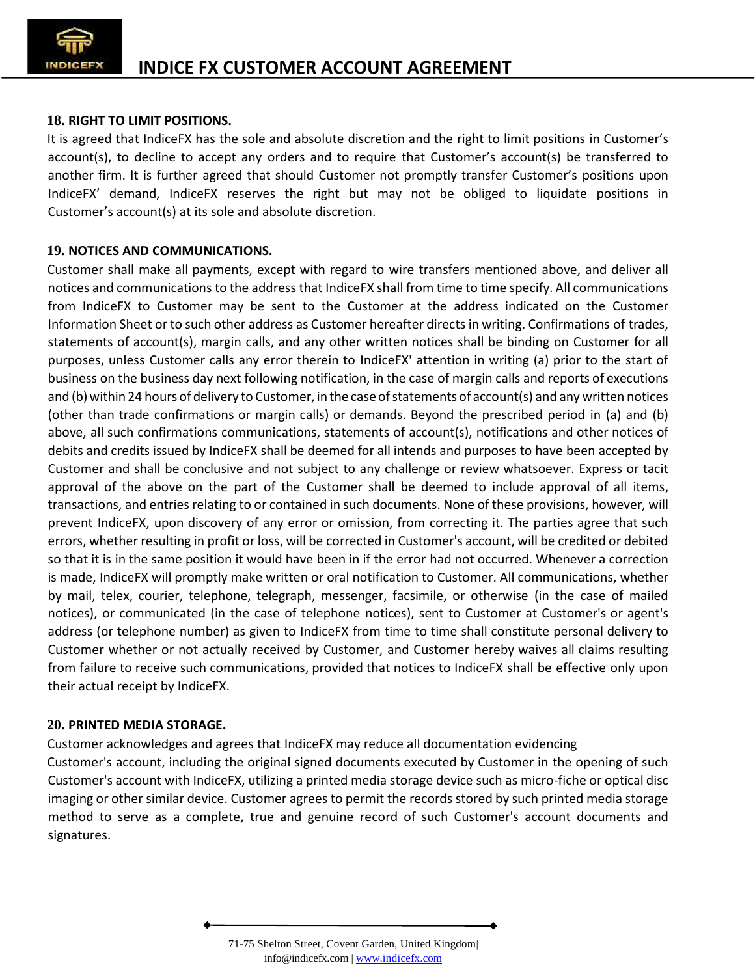

## **18. RIGHT TO LIMIT POSITIONS.**

It is agreed that IndiceFX has the sole and absolute discretion and the right to limit positions in Customer's account(s), to decline to accept any orders and to require that Customer's account(s) be transferred to another firm. It is further agreed that should Customer not promptly transfer Customer's positions upon IndiceFX' demand, IndiceFX reserves the right but may not be obliged to liquidate positions in Customer's account(s) at its sole and absolute discretion.

## **19. NOTICES AND COMMUNICATIONS.**

Customer shall make all payments, except with regard to wire transfers mentioned above, and deliver all notices and communications to the address that IndiceFX shall from time to time specify. All communications from IndiceFX to Customer may be sent to the Customer at the address indicated on the Customer Information Sheet or to such other address as Customer hereafter directs in writing. Confirmations of trades, statements of account(s), margin calls, and any other written notices shall be binding on Customer for all purposes, unless Customer calls any error therein to IndiceFX' attention in writing (a) prior to the start of business on the business day next following notification, in the case of margin calls and reports of executions and (b) within 24 hours of delivery to Customer, in the case of statements of account(s) and any written notices (other than trade confirmations or margin calls) or demands. Beyond the prescribed period in (a) and (b) above, all such confirmations communications, statements of account(s), notifications and other notices of debits and credits issued by IndiceFX shall be deemed for all intends and purposes to have been accepted by Customer and shall be conclusive and not subject to any challenge or review whatsoever. Express or tacit approval of the above on the part of the Customer shall be deemed to include approval of all items, transactions, and entries relating to or contained in such documents. None of these provisions, however, will prevent IndiceFX, upon discovery of any error or omission, from correcting it. The parties agree that such errors, whether resulting in profit or loss, will be corrected in Customer's account, will be credited or debited so that it is in the same position it would have been in if the error had not occurred. Whenever a correction is made, IndiceFX will promptly make written or oral notification to Customer. All communications, whether by mail, telex, courier, telephone, telegraph, messenger, facsimile, or otherwise (in the case of mailed notices), or communicated (in the case of telephone notices), sent to Customer at Customer's or agent's address (or telephone number) as given to IndiceFX from time to time shall constitute personal delivery to Customer whether or not actually received by Customer, and Customer hereby waives all claims resulting from failure to receive such communications, provided that notices to IndiceFX shall be effective only upon their actual receipt by IndiceFX.

### **20. PRINTED MEDIA STORAGE.**

Customer acknowledges and agrees that IndiceFX may reduce all documentation evidencing Customer's account, including the original signed documents executed by Customer in the opening of such Customer's account with IndiceFX, utilizing a printed media storage device such as micro-fiche oroptical disc imaging or other similar device. Customer agrees to permit the records stored by such printed media storage method to serve as a complete, true and genuine record of such Customer's account documents and signatures.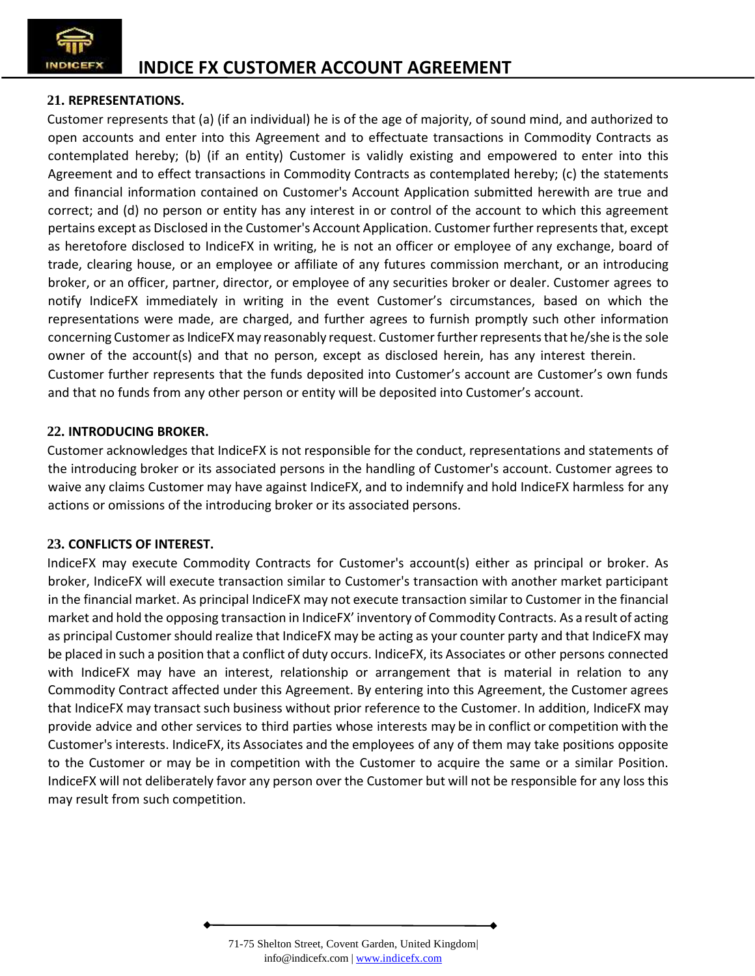

# **21. REPRESENTATIONS.**

Customer represents that (a) (if an individual) he is of the age of majority, of sound mind, and authorized to open accounts and enter into this Agreement and to effectuate transactions in Commodity Contracts as contemplated hereby; (b) (if an entity) Customer is validly existing and empowered to enter into this Agreement and to effect transactions in Commodity Contracts as contemplated hereby; (c) the statements and financial information contained on Customer's Account Application submitted herewith are true and correct; and (d) no person or entity has any interest in or control of the account to which this agreement pertains except as Disclosed in the Customer's Account Application. Customer further represents that, except as heretofore disclosed to IndiceFX in writing, he is not an officer or employee of any exchange, board of trade, clearing house, or an employee or affiliate of any futures commission merchant, or an introducing broker, or an officer, partner, director, or employee of any securities broker or dealer. Customer agrees to notify IndiceFX immediately in writing in the event Customer's circumstances, based on which the representations were made, are charged, and further agrees to furnish promptly such other information concerning Customer as IndiceFX may reasonably request. Customer further represents that he/she is the sole owner of the account(s) and that no person, except as disclosed herein, has any interest therein. Customer further represents that the funds deposited into Customer's account are Customer's own funds and that no funds from any other person or entity will be deposited into Customer's account.

## **22. INTRODUCING BROKER.**

Customer acknowledges that IndiceFX is not responsible for the conduct, representations and statements of the introducing broker or its associated persons in the handling of Customer's account. Customer agrees to waive any claims Customer may have against IndiceFX, and to indemnify and hold IndiceFX harmless for any actions or omissions of the introducing broker or its associated persons.

# **23. CONFLICTS OF INTEREST.**

IndiceFX may execute Commodity Contracts for Customer's account(s) either as principal or broker. As broker, IndiceFX will execute transaction similar to Customer's transaction with another market participant in the financial market. As principal IndiceFX may not execute transaction similar to Customer in the financial market and hold the opposing transaction in IndiceFX' inventory of Commodity Contracts. As a result of acting as principal Customer should realize that IndiceFX may be acting as your counter party and that IndiceFX may be placed in such a position that a conflict of duty occurs. IndiceFX, its Associates or other persons connected with IndiceFX may have an interest, relationship or arrangement that is material in relation to any Commodity Contract affected under this Agreement. By entering into this Agreement, the Customer agrees that IndiceFX may transact such business without prior reference to the Customer. In addition, IndiceFX may provide advice and other services to third parties whose interests may be in conflict or competition with the Customer's interests. IndiceFX, its Associates and the employees of any of them may take positions opposite to the Customer or may be in competition with the Customer to acquire the same or a similar Position. IndiceFX will not deliberately favor any person over the Customer but will not be responsible for any loss this may result from such competition.

<sup>71-75</sup> Shelton Street, Covent Garden, United Kingdom| info@indicefx.com | www.indicefx.com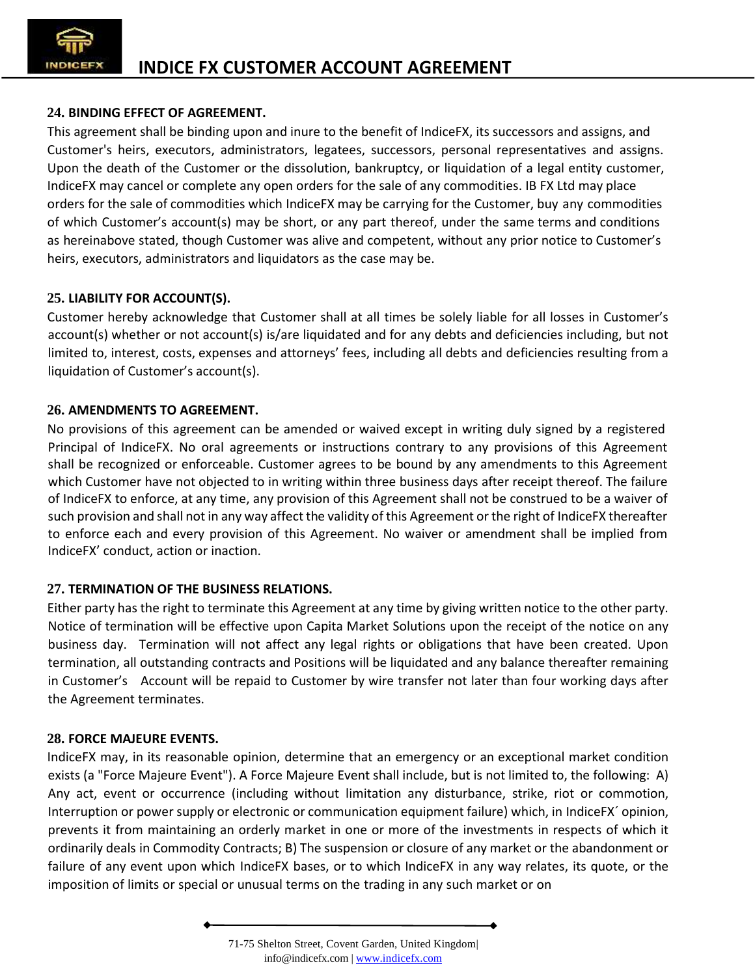### **24. BINDING EFFECT OF AGREEMENT.**

This agreement shall be binding upon and inure to the benefit of IndiceFX, its successors and assigns, and Customer's heirs, executors, administrators, legatees, successors, personal representatives and assigns. Upon the death of the Customer or the dissolution, bankruptcy, or liquidation of a legal entity customer, IndiceFX may cancel or complete any open orders for the sale of any commodities. IB FX Ltd may place orders for the sale of commodities which IndiceFX may be carrying for the Customer, buy any commodities of which Customer's account(s) may be short, or any part thereof, under the same terms and conditions as hereinabove stated, though Customer was alive and competent, without any prior notice to Customer's heirs, executors, administrators and liquidators as the case may be.

### **25. LIABILITY FOR ACCOUNT(S).**

Customer hereby acknowledge that Customer shall at all times be solely liable for all losses in Customer's account(s) whether or not account(s) is/are liquidated and for any debts and deficiencies including, but not limited to, interest, costs, expenses and attorneys' fees, including all debts and deficiencies resulting from a liquidation of Customer's account(s).

#### **26. AMENDMENTS TO AGREEMENT.**

No provisions of this agreement can be amended or waived except in writing duly signed by a registered Principal of IndiceFX. No oral agreements or instructions contrary to any provisions of this Agreement shall be recognized or enforceable. Customer agrees to be bound by any amendments to this Agreement which Customer have not objected to in writing within three business days after receipt thereof. The failure of IndiceFX to enforce, at any time, any provision of this Agreement shall not be construed to be a waiver of such provision and shall not in any way affect the validity of this Agreement orthe right of IndiceFX thereafter to enforce each and every provision of this Agreement. No waiver or amendment shall be implied from IndiceFX' conduct, action or inaction.

### **27. TERMINATION OF THE BUSINESS RELATIONS.**

Either party has the right to terminate this Agreement at any time by giving written notice to the other party. Notice of termination will be effective upon Capita Market Solutions upon the receipt of the notice on any business day. Termination will not affect any legal rights or obligations that have been created. Upon termination, all outstanding contracts and Positions will be liquidated and any balance thereafter remaining in Customer's Account will be repaid to Customer by wire transfer not later than four working days after the Agreement terminates.

#### **28. FORCE MAJEURE EVENTS.**

IndiceFX may, in its reasonable opinion, determine that an emergency or an exceptional market condition exists (a "Force Majeure Event"). A Force Majeure Event shall include, but is not limited to, the following: A) Any act, event or occurrence (including without limitation any disturbance, strike, riot or commotion, Interruption or power supply or electronic or communication equipment failure) which, in IndiceFX´ opinion, prevents it from maintaining an orderly market in one or more of the investments in respects of which it ordinarily deals in Commodity Contracts; B) The suspension or closure of any market or the abandonment or failure of any event upon which IndiceFX bases, or to which IndiceFX in any way relates, its quote, or the imposition of limits or special or unusual terms on the trading in any such market or on

<sup>71-75</sup> Shelton Street, Covent Garden, United Kingdom| info@indicefx.com | www.indicefx.com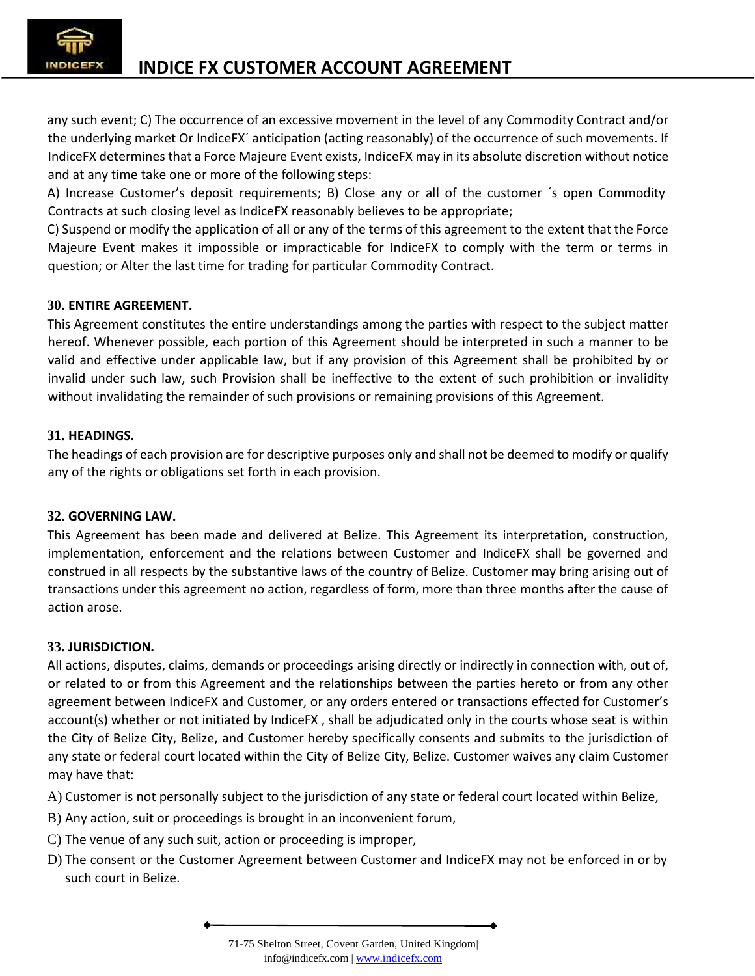

any such event; C) The occurrence of an excessive movement in the level of any Commodity Contract and/or the underlying market Or IndiceFX´ anticipation (acting reasonably) of the occurrence of such movements. If IndiceFX determines that a Force Majeure Event exists, IndiceFX may in its absolute discretion without notice and at any time take one or more of the following steps:

A) Increase Customer's deposit requirements; B) Close any or all of the customer ´s open Commodity Contracts at such closing level as IndiceFX reasonably believes to be appropriate;

C) Suspend or modify the application of all or any of the terms of this agreement to the extent that the Force Majeure Event makes it impossible or impracticable for IndiceFX to comply with the term or terms in question; or Alter the last time for trading for particular Commodity Contract.

## **30. ENTIRE AGREEMENT.**

This Agreement constitutes the entire understandings among the parties with respect to the subject matter hereof. Whenever possible, each portion of this Agreement should be interpreted in such a manner to be valid and effective under applicable law, but if any provision of this Agreement shall be prohibited by or invalid under such law, such Provision shall be ineffective to the extent of such prohibition or invalidity without invalidating the remainder of such provisions or remaining provisions of this Agreement.

## **31. HEADINGS.**

The headings of each provision are for descriptive purposes only and shall not be deemed to modify or qualify any of the rights or obligations set forth in each provision.

# **32. GOVERNING LAW.**

This Agreement has been made and delivered at Belize. This Agreement its interpretation, construction, implementation, enforcement and the relations between Customer and IndiceFX shall be governed and construed in all respects by the substantive laws of the country of Belize. Customer may bring arising out of transactions under this agreement no action, regardless of form, more than three months after the cause of action arose.

# **33. JURISDICTION.**

All actions, disputes, claims, demands or proceedings arising directly or indirectly in connection with, out of, or related to or from this Agreement and the relationships between the parties hereto or from any other agreement between IndiceFX and Customer, or any orders entered or transactions effected for Customer's account(s) whether or not initiated by IndiceFX , shall be adjudicated only in the courts whose seat is within the City of Belize City, Belize, and Customer hereby specifically consents and submits to the jurisdiction of any state or federal court located within the City of Belize City, Belize. Customer waives any claim Customer may have that:

A) Customer is not personally subject to the jurisdiction of any state or federal court located within Belize,

- B) Any action, suit or proceedings is brought in an inconvenient forum,
- C) The venue of any such suit, action or proceeding is improper,
- D) The consent or the Customer Agreement between Customer and IndiceFX may not be enforced in or by such court in Belize.

<sup>71-75</sup> Shelton Street, Covent Garden, United Kingdom| info@indicefx.com | www.indicefx.com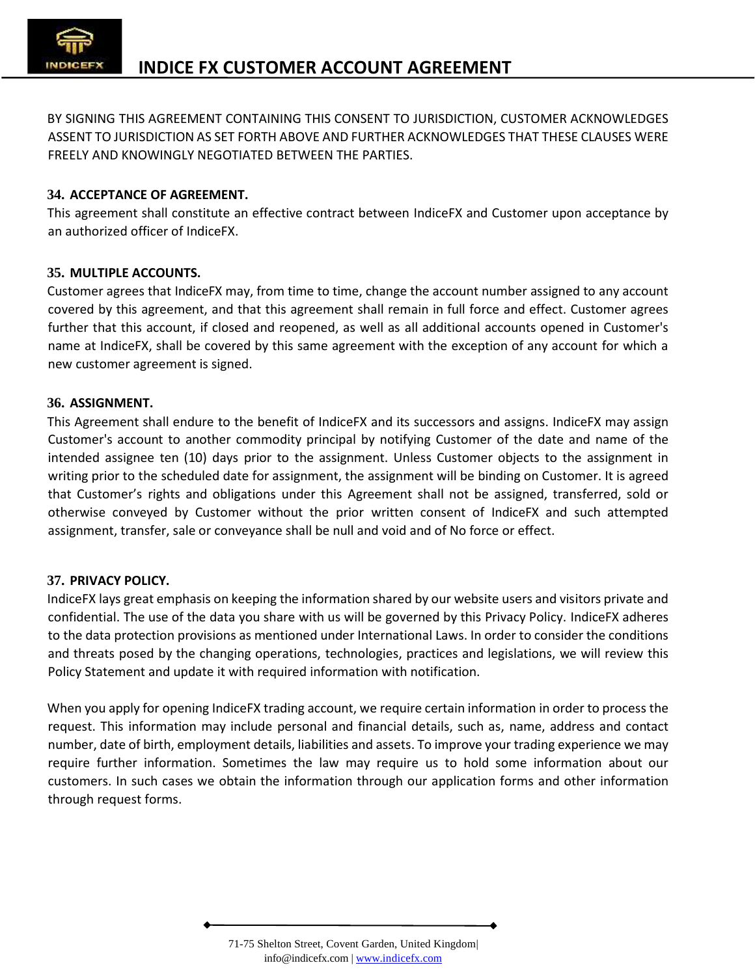

BY SIGNING THIS AGREEMENT CONTAINING THIS CONSENT TO JURISDICTION, CUSTOMER ACKNOWLEDGES ASSENT TO JURISDICTION AS SET FORTH ABOVE AND FURTHER ACKNOWLEDGES THAT THESE CLAUSES WERE FREELY AND KNOWINGLY NEGOTIATED BETWEEN THE PARTIES.

## **34. ACCEPTANCE OF AGREEMENT.**

This agreement shall constitute an effective contract between IndiceFX and Customer upon acceptance by an authorized officer of IndiceFX.

## **35. MULTIPLE ACCOUNTS.**

Customer agrees that IndiceFX may, from time to time, change the account number assigned to any account covered by this agreement, and that this agreement shall remain in full force and effect. Customer agrees further that this account, if closed and reopened, as well as all additional accounts opened in Customer's name at IndiceFX, shall be covered by this same agreement with the exception of any account for which a new customer agreement is signed.

## **36. ASSIGNMENT.**

This Agreement shall endure to the benefit of IndiceFX and its successors and assigns. IndiceFX may assign Customer's account to another commodity principal by notifying Customer of the date and name of the intended assignee ten (10) days prior to the assignment. Unless Customer objects to the assignment in writing prior to the scheduled date for assignment, the assignment will be binding on Customer. It is agreed that Customer's rights and obligations under this Agreement shall not be assigned, transferred, sold or otherwise conveyed by Customer without the prior written consent of IndiceFX and such attempted assignment, transfer, sale or conveyance shall be null and void and of No force or effect.

### **37. PRIVACY POLICY.**

IndiceFX lays great emphasis on keeping the information shared by our website users and visitors private and confidential. The use of the data you share with us will be governed by this Privacy Policy. IndiceFX adheres to the data protection provisions as mentioned under International Laws. In order to consider the conditions and threats posed by the changing operations, technologies, practices and legislations, we will review this Policy Statement and update it with required information with notification.

When you apply for opening IndiceFX trading account, we require certain information in order to process the request. This information may include personal and financial details, such as, name, address and contact number, date of birth, employment details, liabilities and assets. To improve your trading experience we may require further information. Sometimes the law may require us to hold some information about our customers. In such cases we obtain the information through our application forms and other information through request forms.

<sup>71-75</sup> Shelton Street, Covent Garden, United Kingdom| info@indicefx.com | www.indicefx.com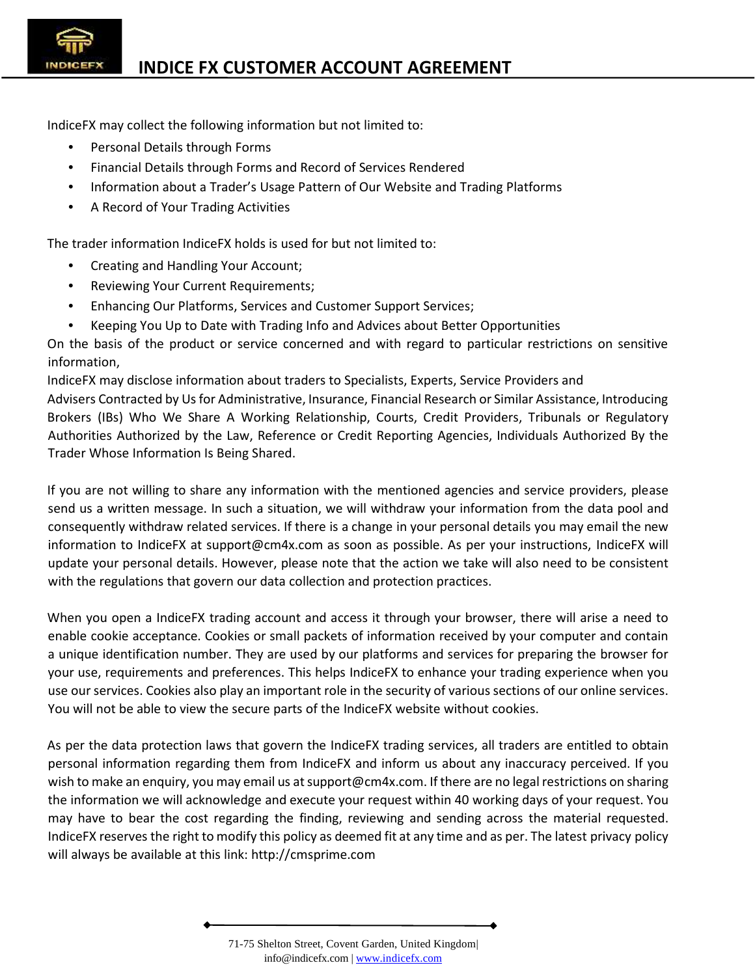IndiceFX may collect the following information but not limited to:

- Personal Details through Forms
- Financial Details through Forms and Record of Services Rendered
- Information about a Trader's Usage Pattern of Our Website and Trading Platforms
- A Record of Your Trading Activities

The trader information IndiceFX holds is used for but not limited to:

- Creating and Handling Your Account;
- Reviewing Your Current Requirements;
- Enhancing Our Platforms, Services and Customer Support Services;
- Keeping You Up to Date with Trading Info and Advices about Better Opportunities

On the basis of the product or service concerned and with regard to particular restrictions on sensitive information,

IndiceFX may disclose information about traders to Specialists, Experts, Service Providers and Advisers Contracted by Us for Administrative, Insurance, Financial Research or Similar Assistance, Introducing Brokers (IBs) Who We Share A Working Relationship, Courts, Credit Providers, Tribunals or Regulatory Authorities Authorized by the Law, Reference or Credit Reporting Agencies, Individuals Authorized By the Trader Whose Information Is Being Shared.

If you are not willing to share any information with the mentioned agencies and service providers, please send us a written message. In such a situation, we will withdraw your information from the data pool and consequently withdraw related services. If there is a change in your personal details you may email the new information to IndiceFX at support@cm4x.com as soon as possible. As per your instructions, IndiceFX will update your personal details. However, please note that the action we take will also need to be consistent with the regulations that govern our data collection and protection practices.

When you open a IndiceFX trading account and access it through your browser, there will arise a need to enable cookie acceptance. Cookies or small packets of information received by your computer and contain a unique identification number. They are used by our platforms and services for preparing the browser for your use, requirements and preferences. This helps IndiceFX to enhance your trading experience when you use our services. Cookies also play an important role in the security of various sections of our online services. You will not be able to view the secure parts of the IndiceFX website without cookies.

As per the data protection laws that govern the IndiceFX trading services, all traders are entitled to obtain personal information regarding them from IndiceFX and inform us about any inaccuracy perceived. If you wish to make an enquiry, you may email us at support@cm4x.com. If there are no legal restrictions on sharing the information we will acknowledge and execute your request within 40 working days of your request. You may have to bear the cost regarding the finding, reviewing and sending across the material requested. IndiceFX reserves the right to modify this policy as deemed fit at any time and as per. The latest privacy policy will always be available at this link: http://cmsprime.com